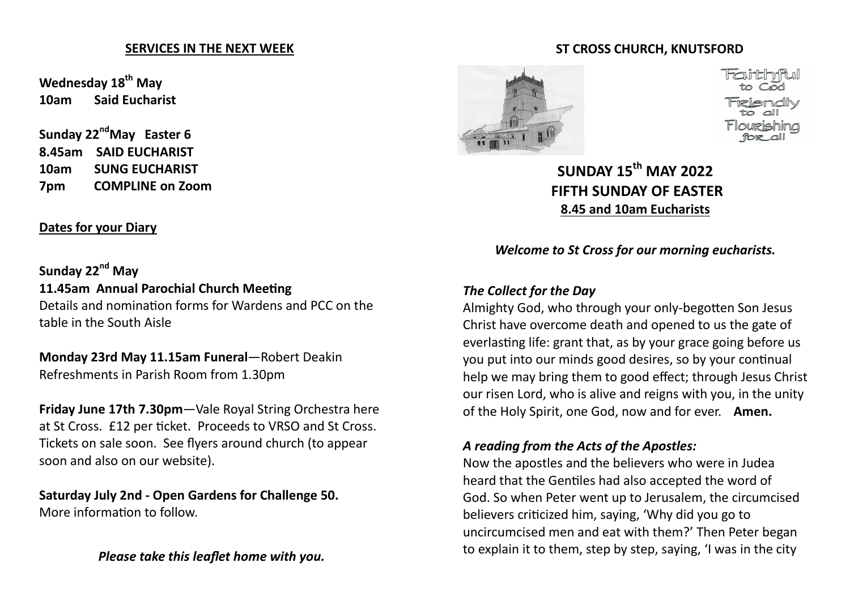#### **SERVICES IN THE NEXT WEEK**

**Wednesday 18th May 10am Said Eucharist**

**Sunday 22ndMay Easter 6 8.45am SAID EUCHARIST 10am SUNG EUCHARIST 7pm COMPLINE on Zoom**

## **Dates for your Diary**

**Sunday 22nd May 11.45am Annual Parochial Church Meeting** Details and nomination forms for Wardens and PCC on the table in the South Aisle

**Monday 23rd May 11.15am Funeral**—Robert Deakin Refreshments in Parish Room from 1.30pm

**Friday June 17th 7.30pm**—Vale Royal String Orchestra here at St Cross. £12 per ticket. Proceeds to VRSO and St Cross. Tickets on sale soon. See flyers around church (to appear soon and also on our website).

**Saturday July 2nd - Open Gardens for Challenge 50.**  More information to follow.

*Please take this leaflet home with you.*

#### **ST CROSS CHURCH, KNUTSFORD**



**SUNDAY 15th MAY 2022 FIFTH SUNDAY OF EASTER 8.45 and 10am Eucharists**

*Welcome to St Cross for our morning eucharists.* 

#### *The Collect for the Day*

Almighty God, who through your only-begotten Son Jesus Christ have overcome death and opened to us the gate of everlasting life: grant that, as by your grace going before us you put into our minds good desires, so by your continual help we may bring them to good effect; through Jesus Christ our risen Lord, who is alive and reigns with you, in the unity of the Holy Spirit, one God, now and for ever. **Amen.** 

## *A reading from the Acts of the Apostles:*

Now the apostles and the believers who were in Judea heard that the Gentiles had also accepted the word of God. So when Peter went up to Jerusalem, the circumcised believers criticized him, saying, 'Why did you go to uncircumcised men and eat with them?' Then Peter began to explain it to them, step by step, saying, 'I was in the city